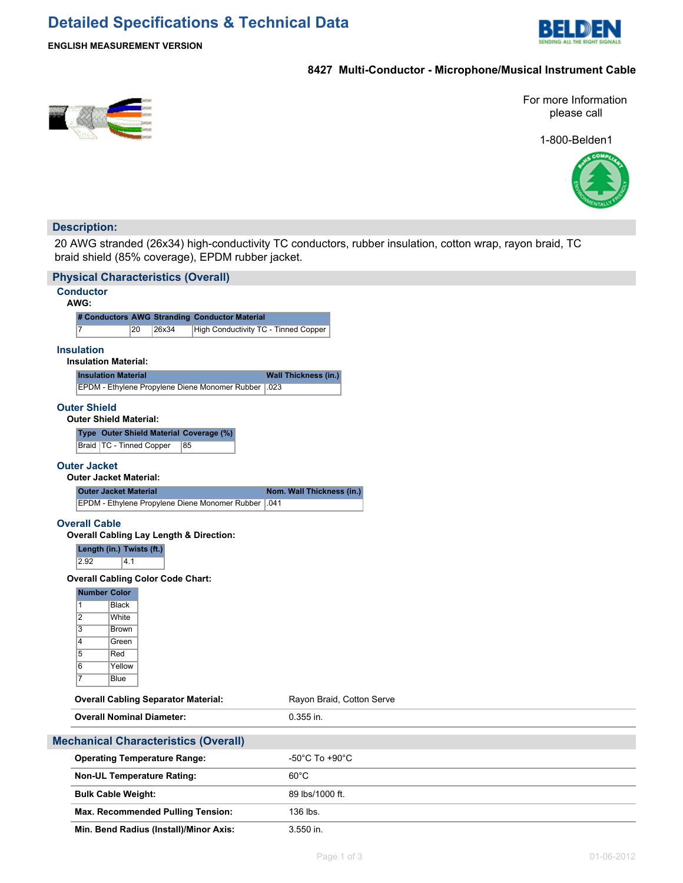# **Detailed Specifications & Technical Data**



## **ENGLISH MEASUREMENT VERSION**

# **8427 Multi-Conductor - Microphone/Musical Instrument Cable**



For more Information please call

1-800-Belden1



## **Description:**

20 AWG stranded (26x34) high-conductivity TC conductors, rubber insulation, cotton wrap, rayon braid, TC braid shield (85% coverage), EPDM rubber jacket.

| <b>Physical Characteristics (Overall)</b>   |                                                      |                       |       |                                                |      |                             |  |
|---------------------------------------------|------------------------------------------------------|-----------------------|-------|------------------------------------------------|------|-----------------------------|--|
|                                             | <b>Conductor</b><br>AWG:                             |                       |       |                                                |      |                             |  |
|                                             | # Conductors AWG Stranding Conductor Material        |                       |       |                                                |      |                             |  |
|                                             | 7                                                    | 20                    | 26x34 | High Conductivity TC - Tinned Copper           |      |                             |  |
|                                             | <b>Insulation</b>                                    |                       |       |                                                |      |                             |  |
|                                             | <b>Insulation Material:</b>                          |                       |       |                                                |      |                             |  |
|                                             | <b>Insulation Material</b>                           |                       |       |                                                |      | <b>Wall Thickness (in.)</b> |  |
|                                             |                                                      |                       |       | EPDM - Ethylene Propylene Diene Monomer Rubber | .023 |                             |  |
|                                             | <b>Outer Shield</b><br><b>Outer Shield Material:</b> |                       |       |                                                |      |                             |  |
|                                             |                                                      |                       |       | Type Outer Shield Material Coverage (%)        |      |                             |  |
|                                             | Braid   TC - Tinned Copper                           |                       | 85    |                                                |      |                             |  |
|                                             | <b>Outer Jacket</b><br><b>Outer Jacket Material:</b> |                       |       |                                                |      |                             |  |
|                                             | <b>Outer Jacket Material</b>                         |                       |       |                                                |      | Nom. Wall Thickness (in.)   |  |
|                                             |                                                      |                       |       | EPDM - Ethylene Propylene Diene Monomer Rubber | .041 |                             |  |
|                                             | <b>Overall Cable</b>                                 |                       |       |                                                |      |                             |  |
|                                             | <b>Overall Cabling Lay Length &amp; Direction:</b>   |                       |       |                                                |      |                             |  |
|                                             | Length (in.) Twists (ft.)                            |                       |       |                                                |      |                             |  |
|                                             | 2.92                                                 | 4.1                   |       |                                                |      |                             |  |
|                                             | <b>Overall Cabling Color Code Chart:</b>             |                       |       |                                                |      |                             |  |
|                                             | <b>Number Color</b>                                  |                       |       |                                                |      |                             |  |
|                                             | $\mathbf{1}$                                         | <b>Black</b>          |       |                                                |      |                             |  |
|                                             | $\overline{2}$                                       | White                 |       |                                                |      |                             |  |
|                                             | 3                                                    | Brown                 |       |                                                |      |                             |  |
|                                             | 4                                                    | Green                 |       |                                                |      |                             |  |
|                                             | 5                                                    | Red                   |       |                                                |      |                             |  |
|                                             | $\overline{6}$<br>$\overline{7}$                     | Yellow<br><b>Blue</b> |       |                                                |      |                             |  |
|                                             |                                                      |                       |       |                                                |      |                             |  |
|                                             | <b>Overall Cabling Separator Material:</b>           |                       |       |                                                |      | Rayon Braid, Cotton Serve   |  |
|                                             | <b>Overall Nominal Diameter:</b>                     |                       |       |                                                |      | $0.355$ in.                 |  |
|                                             |                                                      |                       |       |                                                |      |                             |  |
| <b>Mechanical Characteristics (Overall)</b> |                                                      |                       |       |                                                |      |                             |  |
|                                             | <b>Operating Temperature Range:</b>                  |                       |       |                                                |      | -50°C To +90°C              |  |
|                                             | <b>Non-UL Temperature Rating:</b>                    |                       |       |                                                |      | $60^{\circ}$ C              |  |
|                                             | <b>Bulk Cable Weight:</b>                            |                       |       |                                                |      | 89 lbs/1000 ft.             |  |
|                                             |                                                      |                       |       | <b>Max. Recommended Pulling Tension:</b>       |      | 136 lbs.                    |  |
|                                             |                                                      |                       |       | Min. Bend Radius (Install)/Minor Axis:         |      | 3.550 in.                   |  |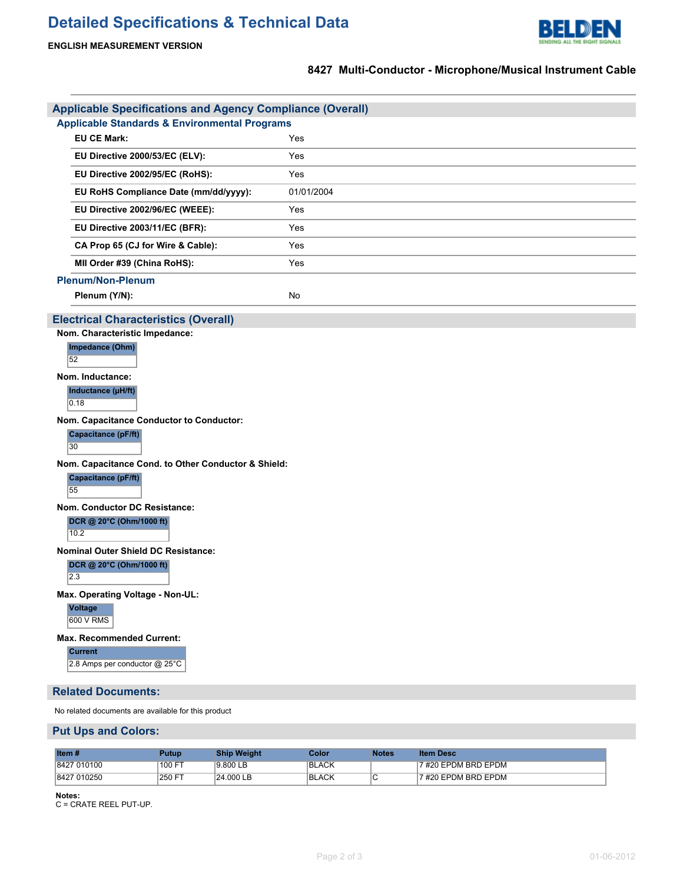# **Detailed Specifications & Technical Data**



## **8427 Multi-Conductor - Microphone/Musical Instrument Cable**

|                                                          | <b>Applicable Specifications and Agency Compliance (Overall)</b> |            |  |  |  |  |
|----------------------------------------------------------|------------------------------------------------------------------|------------|--|--|--|--|
| <b>Applicable Standards &amp; Environmental Programs</b> |                                                                  |            |  |  |  |  |
|                                                          | <b>EU CE Mark:</b>                                               | Yes        |  |  |  |  |
|                                                          | EU Directive 2000/53/EC (ELV):                                   | Yes        |  |  |  |  |
|                                                          | EU Directive 2002/95/EC (RoHS):                                  | Yes        |  |  |  |  |
|                                                          | EU RoHS Compliance Date (mm/dd/yyyy):                            | 01/01/2004 |  |  |  |  |
|                                                          | EU Directive 2002/96/EC (WEEE):                                  | Yes        |  |  |  |  |
|                                                          | EU Directive 2003/11/EC (BFR):                                   | Yes        |  |  |  |  |
|                                                          | CA Prop 65 (CJ for Wire & Cable):                                | Yes        |  |  |  |  |
| MII Order #39 (China RoHS):                              |                                                                  | Yes        |  |  |  |  |
|                                                          | <b>Plenum/Non-Plenum</b>                                         |            |  |  |  |  |
|                                                          | Plenum (Y/N):                                                    | <b>No</b>  |  |  |  |  |

## **Electrical Characteristics (Overall)**

**Nom. Characteristic Impedance:**

|    | Impedance (Ohm) |  |
|----|-----------------|--|
| 52 |                 |  |
|    |                 |  |

**Nom. Inductance:**

**Inductance (µH/ft)**

 $0.18$ 

**Nom. Capacitance Conductor to Conductor:**

#### **Capacitance (pF/ft)**

30

**Nom. Capacitance Cond. to Other Conductor & Shield:**

**Capacitance (pF/ft)**

55

**Nom. Conductor DC Resistance:**

**DCR @ 20°C (Ohm/1000 ft)**

10.2

**Nominal Outer Shield DC Resistance:**

**DCR @ 20°C (Ohm/1000 ft)**

2.3

**Max. Operating Voltage - Non-UL:**

**Voltage** 600 V RMS

**Max. Recommended Current:**

**Current**

2.8 Amps per conductor @ 25°C

### **Related Documents:**

No related documents are available for this product

### **Put Ups and Colors:**

| <b>Item#</b> | Putup  | <b>Ship Weight</b> | Color:       | <b>Notes</b> | <b>Item Desc</b>    |
|--------------|--------|--------------------|--------------|--------------|---------------------|
| 8427 010100  | 100 F  | 9.800 LB           | <b>BLACK</b> |              | 7 #20 EPDM BRD EPDM |
| 8427 010250  | 250 FT | 24.000 LB          | <b>BLACK</b> | ັ            | 7 #20 EPDM BRD EPDM |

**Notes:**

C = CRATE REEL PUT-UP.